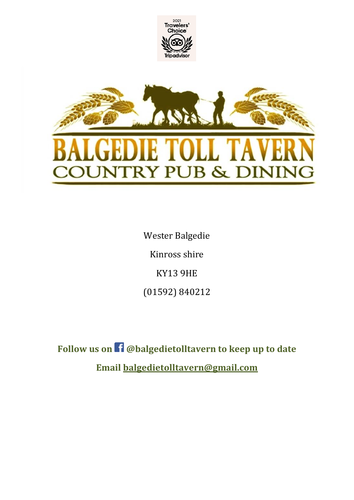

Wester Balgedie Kinross shire KY13 9HE (01592) 840212

**Follow us on @balgedietolltavern to keep up to date Email [balgedietolltavern@gmail.com](mailto:balgedietolltavern@gmail.com)**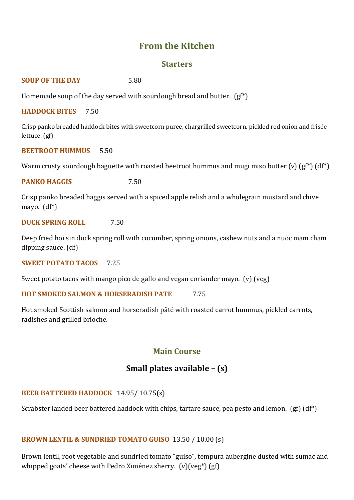# **From the Kitchen**

#### **Starters**

**SOUP OF THE DAY** 5.80

Homemade soup of the day served with sourdough bread and butter. (gf\*)

**HADDOCK BITES** 7.50

Crisp panko breaded haddock bites with sweetcorn puree, chargrilled sweetcorn, pickled red onion and frisée lettuce. (gf)

**BEETROOT HUMMUS** 5.50

Warm crusty sourdough baguette with roasted beetroot hummus and mugi miso butter (v)  $\left(gf^*\right)\left(df^*\right)$ 

**PANKO HAGGIS** 7.50

Crisp panko breaded haggis served with a spiced apple relish and a wholegrain mustard and chive mayo. (df\*)

**DUCK SPRING ROLL** 7.50

Deep fried hoi sin duck spring roll with cucumber, spring onions, cashew nuts and a nuoc mam cham dipping sauce. (df)

**SWEET POTATO TACOS** 7.25

Sweet potato tacos with mango pico de gallo and vegan coriander mayo. (v) (veg)

**HOT SMOKED SALMON & HORSERADISH PATE** 7.75

Hot smoked Scottish salmon and horseradish pâté with roasted carrot hummus, pickled carrots, radishes and grilled brioche.

# **Main Course**

# **Small plates available – (s)**

## **BEER BATTERED HADDOCK** 14.95/ 10.75(s)

Scrabster landed beer battered haddock with chips, tartare sauce, pea pesto and lemon. (gf) (df\*)

## **BROWN LENTIL & SUNDRIED TOMATO GUISO** 13.50 / 10.00 (s)

Brown lentil, root vegetable and sundried tomato "guiso", tempura aubergine dusted with sumac and whipped goats' cheese with Pedro Ximénez sherry. (v)(veg\*) (gf)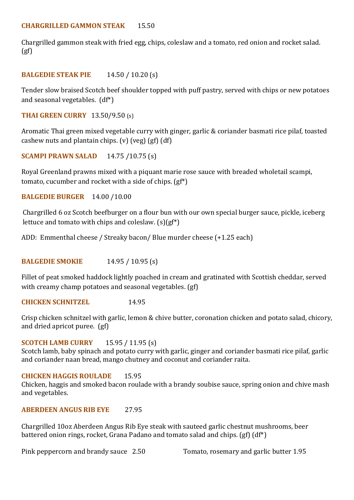Chargrilled gammon steak with fried egg, chips, coleslaw and a tomato, red onion and rocket salad.  $(gf)$ 

# **BALGEDIE STEAK PIE** 14.50 / 10.20 (s)

Tender slow braised Scotch beef shoulder topped with puff pastry, served with chips or new potatoes and seasonal vegetables. (df\*)

**THAI GREEN CURRY** 13.50/9.50 (s)

Aromatic Thai green mixed vegetable curry with ginger, garlic & coriander basmati rice pilaf, toasted cashew nuts and plantain chips. (v) (veg) (gf) (df)

**SCAMPI PRAWN SALAD** 14.75 /10.75 (s)

Royal Greenland prawns mixed with a piquant marie rose sauce with breaded wholetail scampi, tomato, cucumber and rocket with a side of chips. (gf\*)

**BALGEDIE BURGER** 14.00 /10.00

Chargrilled 6 oz Scotch beefburger on a flour bun with our own special burger sauce, pickle, iceberg lettuce and tomato with chips and coleslaw. (s)(gf\*)

ADD: Emmenthal cheese / Streaky bacon/ Blue murder cheese (+1.25 each)

**BALGEDIE SMOKIE** 14.95 / 10.95 (s)

Fillet of peat smoked haddock lightly poached in cream and gratinated with Scottish cheddar, served with creamy champ potatoes and seasonal vegetables. (gf)

**CHICKEN SCHNITZEL** 14.95

Crisp chicken schnitzel with garlic, lemon & chive butter, coronation chicken and potato salad, chicory, and dried apricot puree. (gf)

## **SCOTCH LAMB CURRY** 15.95 / 11.95 (s)

Scotch lamb, baby spinach and potato curry with garlic, ginger and coriander basmati rice pilaf, garlic and coriander naan bread, mango chutney and coconut and coriander raita.

## **CHICKEN HAGGIS ROULADE** 15.95

Chicken, haggis and smoked bacon roulade with a brandy soubise sauce, spring onion and chive mash and vegetables.

## **ABERDEEN ANGUS RIB EYE** 27.95

Chargrilled 10oz Aberdeen Angus Rib Eye steak with sauteed garlic chestnut mushrooms, beer battered onion rings, rocket, Grana Padano and tomato salad and chips. (gf) (df\*)

Pink peppercorn and brandy sauce 2.50 Tomato, rosemary and garlic butter 1.95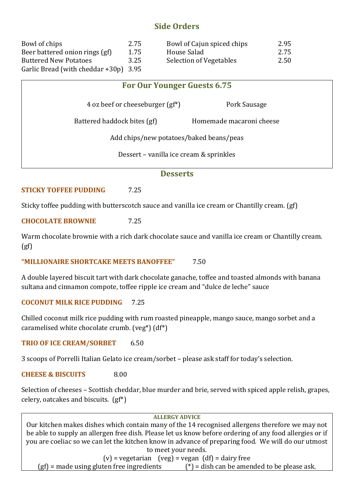# **Side Orders**

| Bowl of chips                         | 2.75 | Bowl of Cajun spiced chips | 2.95 |
|---------------------------------------|------|----------------------------|------|
| Beer battered onion rings (gf)        | 1.75 | House Salad                | 2.75 |
| <b>Buttered New Potatoes</b>          | 3.25 | Selection of Vegetables    | 2.50 |
| Garlic Bread (with cheddar +30p) 3.95 |      |                            |      |

# **For Our Younger Guests 6.75**

4 oz beef or cheeseburger (gf<sup>\*</sup>) Pork Sausage

Battered haddock bites (gf) Homemade macaroni cheese

Add chips/new potatoes/baked beans/peas

Dessert – vanilla ice cream & sprinkles

#### **Desserts**

# **STICKY TOFFEE PUDDING** 7.25

Sticky toffee pudding with butterscotch sauce and vanilla ice cream or Chantilly cream. (gf)

**CHOCOLATE BROWNIE** 7.25

Warm chocolate brownie with a rich dark chocolate sauce and vanilla ice cream or Chantilly cream.  $(gf)$ 

**"MILLIONAIRE SHORTCAKE MEETS BANOFFEE"** 7.50

A double layered biscuit tart with dark chocolate ganache, toffee and toasted almonds with banana sultana and cinnamon compote, toffee ripple ice cream and "dulce de leche" sauce

## **COCONUT MILK RICE PUDDING** 7.25

Chilled coconut milk rice pudding with rum roasted pineapple, mango sauce, mango sorbet and a caramelised white chocolate crumb. (veg\*) (df\*)

**TRIO OF ICE CREAM/SORBET** 6.50

3 scoops of Porrelli Italian Gelato ice cream/sorbet – please ask staff for today's selection.

**CHEESE & BISCUITS** 8.00

Selection of cheeses – Scottish cheddar, blue murder and brie, served with spiced apple relish, grapes, celery, oatcakes and biscuits. (gf\*)

#### **ALLERGY ADVICE**

Our kitchen makes dishes which contain many of the 14 recognised allergens therefore we may not be able to supply an allergen free dish. Please let us know before ordering of any food allergies or if you are coeliac so we can let the kitchen know in advance of preparing food. We will do our utmost to meet your needs.  $(v)$  = vegetarian (veg) = vegan  $(df)$  = dairy free

(gf) = made using gluten free ingredients  $(*)$  = dish can be amended to be please ask.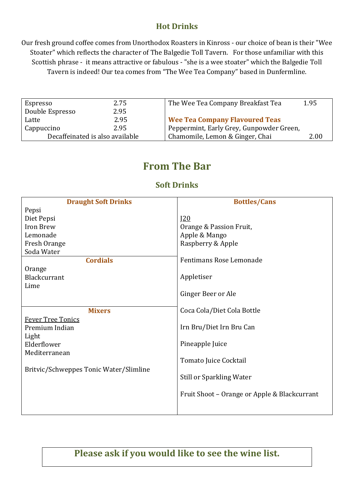# **Hot Drinks**

Our fresh ground coffee comes from Unorthodox Roasters in Kinross - our choice of bean is their "Wee Stoater" which reflects the character of The Balgedie Toll Tavern. For those unfamiliar with this Scottish phrase - it means attractive or fabulous - "she is a wee stoater" which the Balgedie Toll Tavern is indeed! Our tea comes from "The Wee Tea Company" based in Dunfermline.

| Espresso        | 2.75                            | The Wee Tea Company Breakfast Tea        | 1.95 |
|-----------------|---------------------------------|------------------------------------------|------|
|                 |                                 |                                          |      |
| Double Espresso | 2.95                            |                                          |      |
|                 |                                 |                                          |      |
| Latte           | 2.95                            | <b>Wee Tea Company Flavoured Teas</b>    |      |
|                 |                                 |                                          |      |
| Cappuccino      | 2.95                            | Peppermint, Early Grey, Gunpowder Green, |      |
|                 |                                 |                                          |      |
|                 | Decaffeinated is also available | Chamomile, Lemon & Ginger, Chai          | 2.00 |
|                 |                                 |                                          |      |

# **From The Bar**

# **Soft Drinks**

| <b>Draught Soft Drinks</b>             | <b>Bottles/Cans</b>                          |
|----------------------------------------|----------------------------------------------|
| Pepsi                                  |                                              |
| Diet Pepsi                             | J20                                          |
| Iron Brew                              | Orange & Passion Fruit,                      |
| Lemonade                               | Apple & Mango                                |
| Fresh Orange                           | Raspberry & Apple                            |
| Soda Water                             |                                              |
| <b>Cordials</b>                        | Fentimans Rose Lemonade                      |
| Orange                                 |                                              |
| Blackcurrant                           | Appletiser                                   |
| Lime                                   |                                              |
|                                        | Ginger Beer or Ale                           |
|                                        |                                              |
| <b>Mixers</b>                          | Coca Cola/Diet Cola Bottle                   |
| <b>Fever Tree Tonics</b>               |                                              |
| Premium Indian                         | Irn Bru/Diet Irn Bru Can                     |
| Light                                  |                                              |
| Elderflower                            | Pineapple Juice                              |
| Mediterranean                          |                                              |
|                                        | Tomato Juice Cocktail                        |
| Britvic/Schweppes Tonic Water/Slimline |                                              |
|                                        | <b>Still or Sparkling Water</b>              |
|                                        | Fruit Shoot - Orange or Apple & Blackcurrant |
|                                        |                                              |

**Please ask if you would like to see the wine list.**